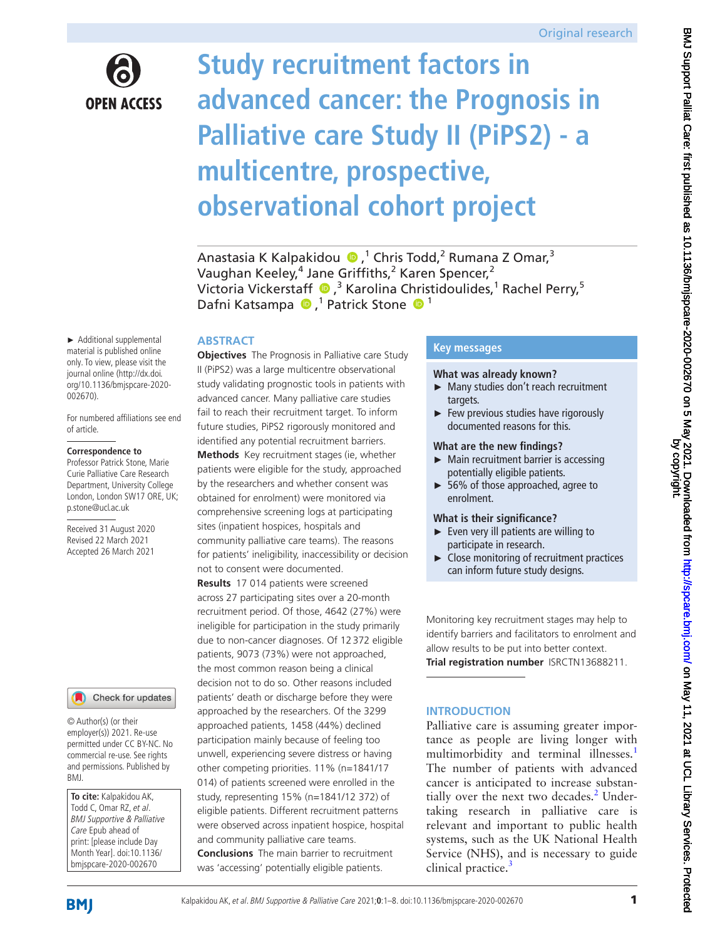

# **Study recruitment factors in advanced cancer: the Prognosis in Palliative care Study II (PiPS2) - a multicentre, prospective, observational cohort project**

Anastasia K Kalpakidou (D,<sup>1</sup> Chris Todd,<sup>2</sup> Rumana Z Omar,<sup>3</sup> Vaughan Keeley,<sup>4</sup> Jane Griffiths,<sup>2</sup> Karen Spencer,<sup>2</sup> VictoriaVickerstaff <sup>®</sup>,<sup>3</sup> Karolina Christidoulides,<sup>1</sup> Rachel Perry,<sup>5</sup> Dafni Katsampa (D,<sup>1</sup> Patrick Stone (D<sup>1</sup>)

## **ABSTRACT**

► Additional supplemental material is published online only. To view, please visit the journal online [\(http://dx.doi.](http://dx.doi.org/10.1136/bmjspcare-2020-002670) [org/10.1136/bmjspcare-2020-](http://dx.doi.org/10.1136/bmjspcare-2020-002670) [002670\)](http://dx.doi.org/10.1136/bmjspcare-2020-002670).

For numbered affiliations see end of article.

#### **Correspondence to**

Professor Patrick Stone, Marie Curie Palliative Care Research Department, University College London, London SW17 ORE, UK; p.stone@ucl.ac.uk

Received 31 August 2020 Revised 22 March 2021 Accepted 26 March 2021

### Check for updates

© Author(s) (or their employer(s)) 2021. Re-use permitted under CC BY-NC. No commercial re-use. See rights and permissions. Published by BMJ.

**To cite:** Kalpakidou AK, Todd C, Omar RZ, et al. BMJ Supportive & Palliative Care Epub ahead of print: [please include Day Month Year]. doi:10.1136/ bmjspcare-2020-002670

**Objectives** The Prognosis in Palliative care Study II (PiPS2) was a large multicentre observational study validating prognostic tools in patients with advanced cancer. Many palliative care studies fail to reach their recruitment target. To inform future studies, PiPS2 rigorously monitored and identified any potential recruitment barriers. **Methods** Key recruitment stages (ie, whether patients were eligible for the study, approached by the researchers and whether consent was obtained for enrolment) were monitored via comprehensive screening logs at participating sites (inpatient hospices, hospitals and community palliative care teams). The reasons for patients' ineligibility, inaccessibility or decision not to consent were documented.

**Results** 17 014 patients were screened across 27 participating sites over a 20-month recruitment period. Of those, 4642 (27%) were ineligible for participation in the study primarily due to non-cancer diagnoses. Of 12372 eligible patients, 9073 (73%) were not approached, the most common reason being a clinical decision not to do so. Other reasons included patients' death or discharge before they were approached by the researchers. Of the 3299 approached patients, 1458 (44%) declined participation mainly because of feeling too unwell, experiencing severe distress or having other competing priorities. 11% (n=1841/17 014) of patients screened were enrolled in the study, representing 15% (n=1841/12 372) of eligible patients. Different recruitment patterns were observed across inpatient hospice, hospital and community palliative care teams. **Conclusions** The main barrier to recruitment was 'accessing' potentially eligible patients.

## **Key messages**

### **What was already known?**

- ► Many studies don't reach recruitment targets.
- ► Few previous studies have rigorously documented reasons for this.

## **What are the new findings?**

- ► Main recruitment barrier is accessing potentially eligible patients.
- ► 56% of those approached, agree to enrolment.

### **What is their significance?**

- ► Even very ill patients are willing to participate in research.
- ► Close monitoring of recruitment practices can inform future study designs.

Monitoring key recruitment stages may help to identify barriers and facilitators to enrolment and allow results to be put into better context.

**Trial registration number** [ISRCTN13688211.](ISRCTN13688211)

## **INTRODUCTION**

Palliative care is assuming greater importance as people are living longer with multimorbidity and terminal illnesses.<sup>1</sup> The number of patients with advanced cancer is anticipated to increase substantially over the next two decades.<sup>2</sup> Undertaking research in palliative care is relevant and important to public health systems, such as the UK National Health Service (NHS), and is necessary to guide clinical practice.<sup>[3](#page-6-2)</sup>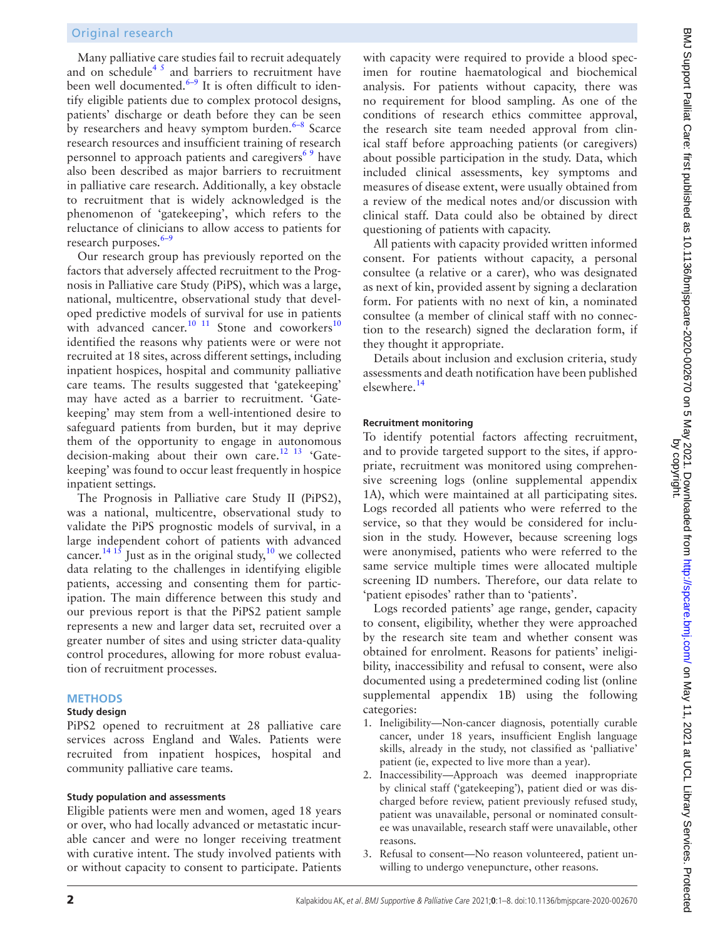Many palliative care studies fail to recruit adequately and on schedule<sup>45</sup> and barriers to recruitment have been well documented. $6-9$  It is often difficult to identify eligible patients due to complex protocol designs, patients' discharge or death before they can be seen by researchers and heavy symptom burden. $6-8$  Scarce research resources and insufficient training of research personnel to approach patients and caregivers<sup>69</sup> have also been described as major barriers to recruitment in palliative care research. Additionally, a key obstacle to recruitment that is widely acknowledged is the phenomenon of 'gatekeeping', which refers to the reluctance of clinicians to allow access to patients for research purposes.<sup>[6–9](#page-6-4)</sup>

Our research group has previously reported on the factors that adversely affected recruitment to the Prognosis in Palliative care Study (PiPS), which was a large, national, multicentre, observational study that developed predictive models of survival for use in patients with advanced cancer.<sup>10 11</sup> Stone and coworkers<sup>10</sup> identified the reasons why patients were or were not recruited at 18 sites, across different settings, including inpatient hospices, hospital and community palliative care teams. The results suggested that 'gatekeeping' may have acted as a barrier to recruitment. 'Gatekeeping' may stem from a well-intentioned desire to safeguard patients from burden, but it may deprive them of the opportunity to engage in autonomous decision-making about their own care.<sup>12 13</sup> 'Gatekeeping' was found to occur least frequently in hospice inpatient settings.

The Prognosis in Palliative care Study II (PiPS2), was a national, multicentre, observational study to validate the PiPS prognostic models of survival, in a large independent cohort of patients with advanced cancer.<sup>14 15</sup> Just as in the original study,<sup>[10](#page-6-5)</sup> we collected data relating to the challenges in identifying eligible patients, accessing and consenting them for participation. The main difference between this study and our previous report is that the PiPS2 patient sample represents a new and larger data set, recruited over a greater number of sites and using stricter data-quality control procedures, allowing for more robust evaluation of recruitment processes.

## **METHODS**

## **Study design**

PiPS2 opened to recruitment at 28 palliative care services across England and Wales. Patients were recruited from inpatient hospices, hospital and community palliative care teams.

#### **Study population and assessments**

Eligible patients were men and women, aged 18 years or over, who had locally advanced or metastatic incurable cancer and were no longer receiving treatment with curative intent. The study involved patients with or without capacity to consent to participate. Patients

with capacity were required to provide a blood specimen for routine haematological and biochemical analysis. For patients without capacity, there was no requirement for blood sampling. As one of the conditions of research ethics committee approval, the research site team needed approval from clinical staff before approaching patients (or caregivers) about possible participation in the study. Data, which included clinical assessments, key symptoms and measures of disease extent, were usually obtained from a review of the medical notes and/or discussion with clinical staff. Data could also be obtained by direct questioning of patients with capacity.

All patients with capacity provided written informed consent. For patients without capacity, a personal consultee (a relative or a carer), who was designated as next of kin, provided assent by signing a declaration form. For patients with no next of kin, a nominated consultee (a member of clinical staff with no connection to the research) signed the declaration form, if they thought it appropriate.

Details about inclusion and exclusion criteria, study assessments and death notification have been published elsewhere.[14](#page-6-7)

#### **Recruitment monitoring**

To identify potential factors affecting recruitment, and to provide targeted support to the sites, if appropriate, recruitment was monitored using comprehensive screening logs [\(online supplemental appendix](https://dx.doi.org/10.1136/bmjspcare-2020-002670)  [1A](https://dx.doi.org/10.1136/bmjspcare-2020-002670)), which were maintained at all participating sites. Logs recorded all patients who were referred to the service, so that they would be considered for inclusion in the study. However, because screening logs were anonymised, patients who were referred to the same service multiple times were allocated multiple screening ID numbers. Therefore, our data relate to 'patient episodes' rather than to 'patients'.

Logs recorded patients' age range, gender, capacity to consent, eligibility, whether they were approached by the research site team and whether consent was obtained for enrolment. Reasons for patients' ineligibility, inaccessibility and refusal to consent, were also documented using a predetermined coding list ([online](https://dx.doi.org/10.1136/bmjspcare-2020-002670)  [supplemental appendix 1B\)](https://dx.doi.org/10.1136/bmjspcare-2020-002670) using the following categories:

- 1. Ineligibility—Non-cancer diagnosis, potentially curable cancer, under 18 years, insufficient English language skills, already in the study, not classified as 'palliative' patient (ie, expected to live more than a year).
- 2. Inaccessibility—Approach was deemed inappropriate by clinical staff ('gatekeeping'), patient died or was discharged before review, patient previously refused study, patient was unavailable, personal or nominated consultee was unavailable, research staff were unavailable, other reasons.
- 3. Refusal to consent—No reason volunteered, patient unwilling to undergo venepuncture, other reasons.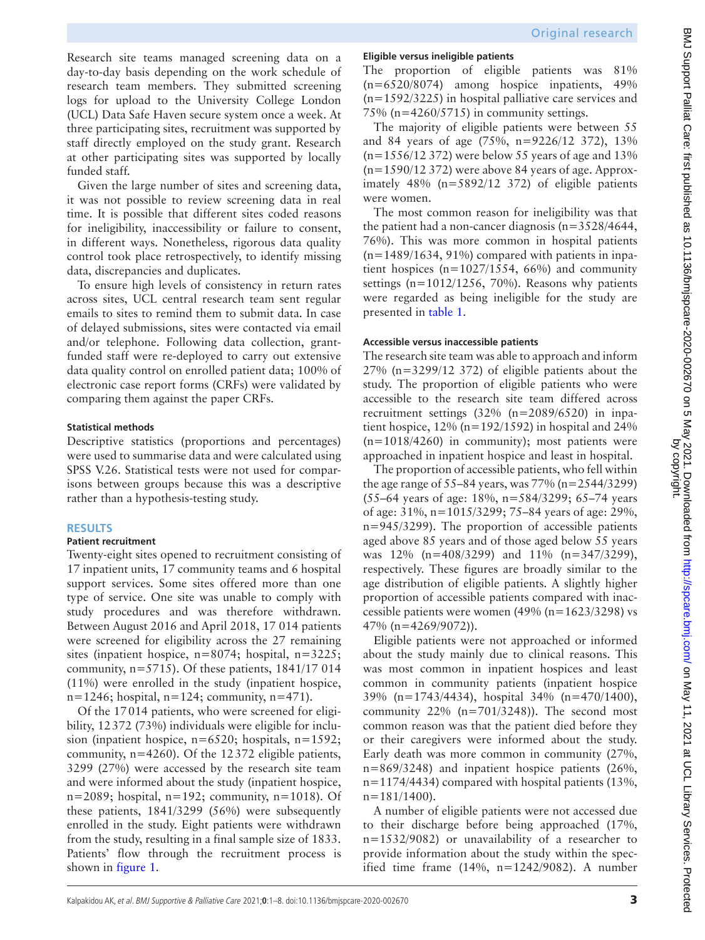Research site teams managed screening data on a day-to-day basis depending on the work schedule of research team members. They submitted screening logs for upload to the University College London (UCL) Data Safe Haven secure system once a week. At three participating sites, recruitment was supported by staff directly employed on the study grant. Research at other participating sites was supported by locally funded staff.

Given the large number of sites and screening data, it was not possible to review screening data in real time. It is possible that different sites coded reasons for ineligibility, inaccessibility or failure to consent, in different ways. Nonetheless, rigorous data quality control took place retrospectively, to identify missing data, discrepancies and duplicates.

To ensure high levels of consistency in return rates across sites, UCL central research team sent regular emails to sites to remind them to submit data. In case of delayed submissions, sites were contacted via email and/or telephone. Following data collection, grantfunded staff were re-deployed to carry out extensive data quality control on enrolled patient data; 100% of electronic case report forms (CRFs) were validated by comparing them against the paper CRFs.

## **Statistical methods**

Descriptive statistics (proportions and percentages) were used to summarise data and were calculated using SPSS V.26. Statistical tests were not used for comparisons between groups because this was a descriptive rather than a hypothesis-testing study.

# **RESULTS**

## **Patient recruitment**

Twenty-eight sites opened to recruitment consisting of 17 inpatient units, 17 community teams and 6 hospital support services. Some sites offered more than one type of service. One site was unable to comply with study procedures and was therefore withdrawn. Between August 2016 and April 2018, 17 014 patients were screened for eligibility across the 27 remaining sites (inpatient hospice, n=8074; hospital, n=3225; community,  $n=5715$ ). Of these patients,  $1841/17014$ (11%) were enrolled in the study (inpatient hospice,  $n=1246$ ; hospital,  $n=124$ ; community,  $n=471$ ).

Of the 17014 patients, who were screened for eligibility, 12372 (73%) individuals were eligible for inclusion (inpatient hospice, n=6520; hospitals, n=1592; community, n=4260). Of the 12372 eligible patients, 3299 (27%) were accessed by the research site team and were informed about the study (inpatient hospice,  $n=2089$ ; hospital,  $n=192$ ; community,  $n=1018$ ). Of these patients, 1841/3299 (56%) were subsequently enrolled in the study. Eight patients were withdrawn from the study, resulting in a final sample size of 1833. Patients' flow through the recruitment process is shown in [figure](#page-3-0) 1.

## **Eligible versus ineligible patients**

The proportion of eligible patients was 81% (n=6520/8074) among hospice inpatients, 49% (n=1592/3225) in hospital palliative care services and 75% ( $n=4260/5715$ ) in community settings.

The majority of eligible patients were between 55 and 84 years of age (75%, n=9226/12 372), 13%  $(n=1556/12 372)$  were below 55 years of age and 13%  $(n=1590/12 372)$  were above 84 years of age. Approximately 48% (n=5892/12 372) of eligible patients were women.

The most common reason for ineligibility was that the patient had a non-cancer diagnosis (n=3528/4644, 76%). This was more common in hospital patients (n*=*1489/1634, 91%) compared with patients in inpatient hospices (n*=*1027/1554, 66%) and community settings (n*=*1012/1256, 70%). Reasons why patients were regarded as being ineligible for the study are presented in [table](#page-3-1) 1.

## **Accessible versus inaccessible patients**

The research site team was able to approach and inform 27% (n=3299/12 372) of eligible patients about the study. The proportion of eligible patients who were accessible to the research site team differed across recruitment settings (32% (n=2089/6520) in inpatient hospice,  $12\%$  (n=192/1592) in hospital and 24%  $(n=1018/4260)$  in community); most patients were approached in inpatient hospice and least in hospital.

The proportion of accessible patients, who fell within the age range of  $55-84$  years, was  $77\%$  (n=2544/3299) (55–64 years of age: 18%, n=584/3299; 65–74 years of age: 31%, n=1015/3299; 75–84 years of age: 29%, n=945/3299). The proportion of accessible patients aged above 85 years and of those aged below 55 years was 12% (n=408/3299) and 11% (n=347/3299), respectively. These figures are broadly similar to the age distribution of eligible patients. A slightly higher proportion of accessible patients compared with inaccessible patients were women (49% (n=1623/3298) vs 47% (n=4269/9072)).

Εligible patients were not approached or informed about the study mainly due to clinical reasons. This was most common in inpatient hospices and least common in community patients (inpatient hospice 39% (n=1743/4434), hospital 34% (n=470/1400), community 22% (n=701/3248)). The second most common reason was that the patient died before they or their caregivers were informed about the study. Early death was more common in community (27%, n=869/3248) and inpatient hospice patients (26%,  $n=1174/4434$ ) compared with hospital patients (13%,  $n=181/1400$ ).

A number of eligible patients were not accessed due to their discharge before being approached (17%, n=1532/9082) or unavailability of a researcher to provide information about the study within the specified time frame  $(14\%, n=1242/9082)$ . A number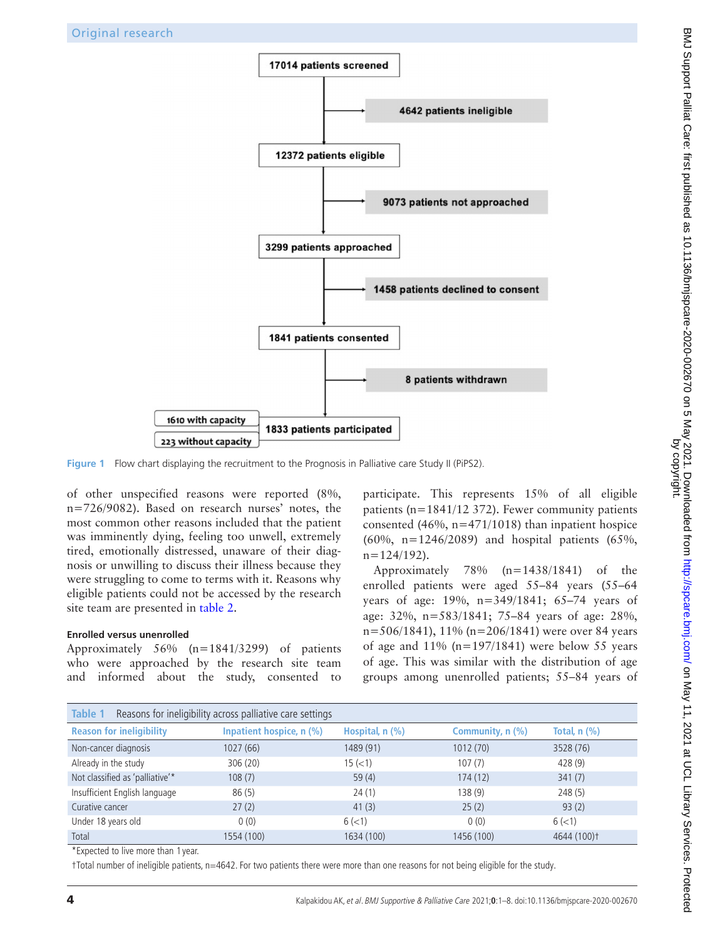

**Figure 1** Flow chart displaying the recruitment to the Prognosis in Palliative care Study II (PiPS2).

of other unspecified reasons were reported (8%, n=726/9082). Based on research nurses' notes, the most common other reasons included that the patient was imminently dying, feeling too unwell, extremely tired, emotionally distressed, unaware of their diagnosis or unwilling to discuss their illness because they were struggling to come to terms with it. Reasons why eligible patients could not be accessed by the research site team are presented in [table](#page-4-0) 2.

## **Enrolled versus unenrolled**

Approximately 56% (n=1841/3299) of patients who were approached by the research site team and informed about the study, consented to

<span id="page-3-0"></span>participate. This represents 15% of all eligible patients (n=1841/12 372). Fewer community patients consented (46%,  $n=471/1018$ ) than inpatient hospice (60%, n=1246/2089) and hospital patients (65%,  $n=124/192$ ).

Approximately 78% (n=1438/1841) of the enrolled patients were aged 55–84 years (55–64 years of age: 19%, n=349/1841; 65–74 years of age: 32%, n=583/1841; 75–84 years of age: 28%, n=506/1841), 11% (n=206/1841) were over 84 years of age and  $11\%$  (n=197/1841) were below 55 years of age. This was similar with the distribution of age groups among unenrolled patients; 55–84 years of

<span id="page-3-1"></span>

| Table 1<br>Reasons for ineligibility across palliative care settings |                          |                      |                    |                         |  |  |  |  |  |  |  |  |
|----------------------------------------------------------------------|--------------------------|----------------------|--------------------|-------------------------|--|--|--|--|--|--|--|--|
| <b>Reason for ineligibility</b>                                      | Inpatient hospice, n (%) | Hospital, $n$ $(\%)$ | Community, $n$ (%) | Total, $n$ $(\%)$       |  |  |  |  |  |  |  |  |
| Non-cancer diagnosis                                                 | 1027 (66)                | 1489 (91)            | 1012(70)           | 3528 (76)               |  |  |  |  |  |  |  |  |
| Already in the study                                                 | 306 (20)                 | 15 (< 1)             | 107(7)             | 428 (9)                 |  |  |  |  |  |  |  |  |
| Not classified as 'palliative'*                                      | 108(7)                   | 59(4)                | 174(12)            | 341(7)                  |  |  |  |  |  |  |  |  |
| Insufficient English language                                        | 86(5)                    | 24(1)                | 138(9)             | 248(5)                  |  |  |  |  |  |  |  |  |
| Curative cancer                                                      | 27(2)                    | 41(3)                | 25(2)              | 93(2)                   |  |  |  |  |  |  |  |  |
| Under 18 years old                                                   | 0(0)                     | 6(<1)                | 0(0)               | 6(<1)                   |  |  |  |  |  |  |  |  |
| Total                                                                | 1554 (100)               | 1634 (100)           | 1456 (100)         | 4644 (100) <sup>+</sup> |  |  |  |  |  |  |  |  |

\*Expected to live more than 1 year.

†Total number of ineligible patients, n=4642. For two patients there were more than one reasons for not being eligible for the study.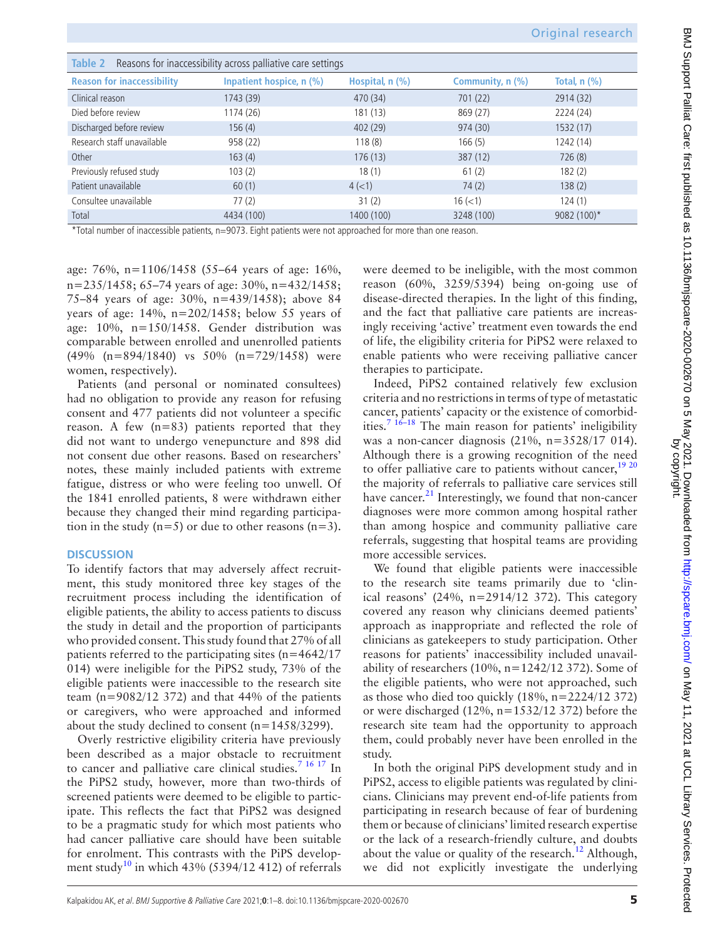<span id="page-4-0"></span>

| Reasons for inaccessibility across palliative care settings<br>Table 2                                       |                          |                      |                  |                                       |  |  |  |  |  |  |  |  |
|--------------------------------------------------------------------------------------------------------------|--------------------------|----------------------|------------------|---------------------------------------|--|--|--|--|--|--|--|--|
| <b>Reason for inaccessibility</b>                                                                            | Inpatient hospice, n (%) | Hospital, $n$ $(\%)$ | Community, n (%) | Total, $n$ $\left(\frac{9}{6}\right)$ |  |  |  |  |  |  |  |  |
| Clinical reason                                                                                              | 1743 (39)                | 470 (34)             | 701 (22)         | 2914 (32)                             |  |  |  |  |  |  |  |  |
| Died before review                                                                                           | 1174 (26)                | 181 (13)             | 869 (27)         | 2224 (24)                             |  |  |  |  |  |  |  |  |
| Discharged before review                                                                                     | 156(4)                   | 402 (29)             | 974 (30)         | 1532 (17)                             |  |  |  |  |  |  |  |  |
| Research staff unavailable                                                                                   | 958 (22)                 | 118(8)               | 166(5)           | 1242 (14)                             |  |  |  |  |  |  |  |  |
| Other                                                                                                        | 163(4)                   | 176(13)              | 387 (12)         | 726(8)                                |  |  |  |  |  |  |  |  |
| Previously refused study                                                                                     | 103(2)                   | 18(1)                | 61(2)            | 182(2)                                |  |  |  |  |  |  |  |  |
| Patient unavailable                                                                                          | 60(1)                    | 4(<1)                | 74(2)            | 138(2)                                |  |  |  |  |  |  |  |  |
| Consultee unavailable                                                                                        | 77(2)                    | 31(2)                | $16 \, (< 1)$    | 124(1)                                |  |  |  |  |  |  |  |  |
| Total                                                                                                        | 4434 (100)               | 1400 (100)           | 3248 (100)       | 9082 (100)*                           |  |  |  |  |  |  |  |  |
| *Total number of inaccessible patients, n=9073. Fight patients were not approached for more than one reason. |                          |                      |                  |                                       |  |  |  |  |  |  |  |  |

\*Total number of inaccessible patients, n=9073. Eight patients were not approached for more than one reason.

age: 76%, n=1106/1458 (55–64 years of age: 16%, n=235/1458; 65–74 years of age: 30%, n=432/1458; 75–84 years of age: 30%, n=439/1458); above 84 years of age: 14%, n=202/1458; below 55 years of age: 10%, n=150/1458. Gender distribution was comparable between enrolled and unenrolled patients (49% (n=894/1840) vs 50% (n=729/1458) were women, respectively).

Patients (and personal or nominated consultees) had no obligation to provide any reason for refusing consent and 477 patients did not volunteer a specific reason. A few (n=83) patients reported that they did not want to undergo venepuncture and 898 did not consent due other reasons. Based on researchers' notes, these mainly included patients with extreme fatigue, distress or who were feeling too unwell. Of the 1841 enrolled patients, 8 were withdrawn either because they changed their mind regarding participation in the study  $(n=5)$  or due to other reasons  $(n=3)$ .

## **DISCUSSION**

To identify factors that may adversely affect recruitment, this study monitored three key stages of the recruitment process including the identification of eligible patients, the ability to access patients to discuss the study in detail and the proportion of participants who provided consent. This study found that 27% of all patients referred to the participating sites (n=4642/17 014) were ineligible for the PiPS2 study, 73% of the eligible patients were inaccessible to the research site team ( $n=9082/12$  372) and that 44% of the patients or caregivers, who were approached and informed about the study declined to consent (n=1458/3299).

Overly restrictive eligibility criteria have previously been described as a major obstacle to recruitment to cancer and palliative care clinical studies.<sup>[7 16 17](#page-6-8)</sup> In the PiPS2 study, however, more than two-thirds of screened patients were deemed to be eligible to participate. This reflects the fact that PiPS2 was designed to be a pragmatic study for which most patients who had cancer palliative care should have been suitable for enrolment. This contrasts with the PiPS develop-ment study<sup>[10](#page-6-5)</sup> in which 43% (5394/12 412) of referrals

were deemed to be ineligible, with the most common reason (60%, 3259/5394) being on-going use of disease-directed therapies. In the light of this finding, and the fact that palliative care patients are increasingly receiving 'active' treatment even towards the end of life, the eligibility criteria for PiPS2 were relaxed to enable patients who were receiving palliative cancer therapies to participate.

Indeed, PiPS2 contained relatively few exclusion criteria and no restrictions in terms of type of metastatic cancer, patients' capacity or the existence of comorbid-ities.<sup>[7 16–18](#page-6-8)</sup> The main reason for patients' ineligibility was a non-cancer diagnosis (21%, n=3528/17 014). Although there is a growing recognition of the need to offer palliative care to patients without cancer,  $1920$ the majority of referrals to palliative care services still have cancer. $^{21}$  Interestingly, we found that non-cancer diagnoses were more common among hospital rather than among hospice and community palliative care referrals, suggesting that hospital teams are providing more accessible services.

We found that eligible patients were inaccessible to the research site teams primarily due to 'clinical reasons' (24%, n=2914/12 372). This category covered any reason why clinicians deemed patients' approach as inappropriate and reflected the role of clinicians as gatekeepers to study participation. Other reasons for patients' inaccessibility included unavailability of researchers (10%,  $n=1242/12$  372). Some of the eligible patients, who were not approached, such as those who died too quickly (18%, n=2224/12 372) or were discharged (12%, n=1532/12 372) before the research site team had the opportunity to approach them, could probably never have been enrolled in the study.

In both the original PiPS development study and in PiPS2, access to eligible patients was regulated by clinicians. Clinicians may prevent end-of-life patients from participating in research because of fear of burdening them or because of clinicians' limited research expertise or the lack of a research-friendly culture, and doubts about the value or quality of the research.<sup>12</sup> Although, we did not explicitly investigate the underlying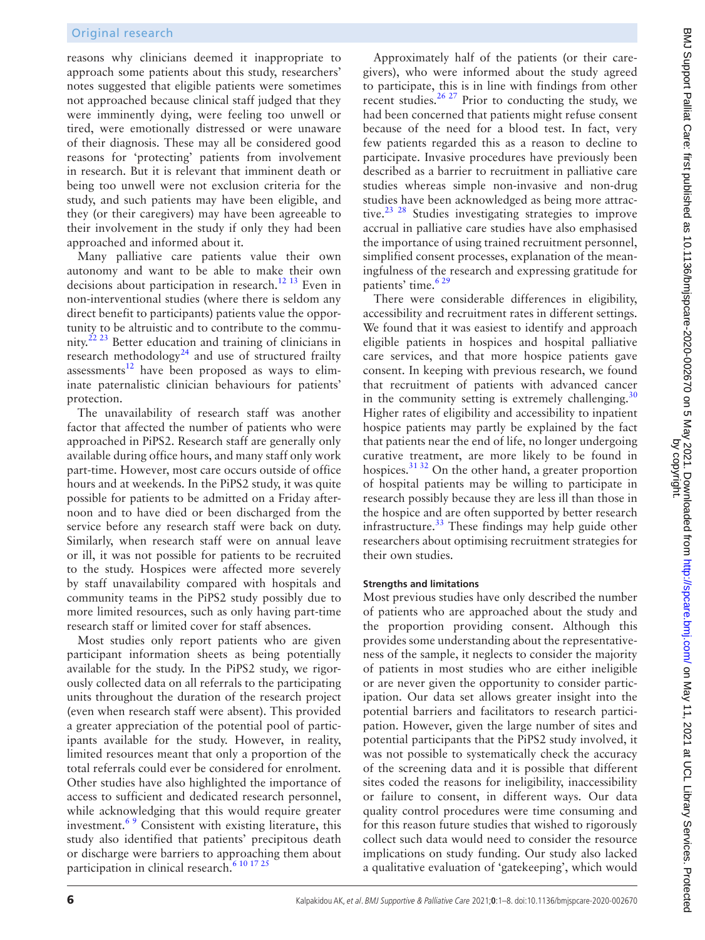reasons why clinicians deemed it inappropriate to approach some patients about this study, researchers' notes suggested that eligible patients were sometimes not approached because clinical staff judged that they were imminently dying, were feeling too unwell or tired, were emotionally distressed or were unaware of their diagnosis. These may all be considered good reasons for 'protecting' patients from involvement in research. But it is relevant that imminent death or being too unwell were not exclusion criteria for the study, and such patients may have been eligible, and they (or their caregivers) may have been agreeable to their involvement in the study if only they had been approached and informed about it.

Many palliative care patients value their own autonomy and want to be able to make their own decisions about participation in research.<sup>12 13</sup> Even in non-interventional studies (where there is seldom any direct benefit to participants) patients value the opportunity to be altruistic and to contribute to the community.<sup>22 23</sup> Better education and training of clinicians in research methodology $^{24}$  $^{24}$  $^{24}$  and use of structured frailty assessments $12$  have been proposed as ways to eliminate paternalistic clinician behaviours for patients' protection.

The unavailability of research staff was another factor that affected the number of patients who were approached in PiPS2. Research staff are generally only available during office hours, and many staff only work part-time. However, most care occurs outside of office hours and at weekends. In the PiPS2 study, it was quite possible for patients to be admitted on a Friday afternoon and to have died or been discharged from the service before any research staff were back on duty. Similarly, when research staff were on annual leave or ill, it was not possible for patients to be recruited to the study. Hospices were affected more severely by staff unavailability compared with hospitals and community teams in the PiPS2 study possibly due to more limited resources, such as only having part-time research staff or limited cover for staff absences.

Most studies only report patients who are given participant information sheets as being potentially available for the study. In the PiPS2 study, we rigorously collected data on all referrals to the participating units throughout the duration of the research project (even when research staff were absent). This provided a greater appreciation of the potential pool of participants available for the study. However, in reality, limited resources meant that only a proportion of the total referrals could ever be considered for enrolment. Other studies have also highlighted the importance of access to sufficient and dedicated research personnel, while acknowledging that this would require greater investment.<sup>69</sup> Consistent with existing literature, this study also identified that patients' precipitous death or discharge were barriers to approaching them about participation in clinical research.<sup>6 10 17 25</sup>

Approximately half of the patients (or their caregivers), who were informed about the study agreed to participate, this is in line with findings from other recent studies.<sup>26 27</sup> Prior to conducting the study, we had been concerned that patients might refuse consent because of the need for a blood test. In fact, very few patients regarded this as a reason to decline to participate. Invasive procedures have previously been described as a barrier to recruitment in palliative care studies whereas simple non-invasive and non-drug studies have been acknowledged as being more attractive.<sup>23 28</sup> Studies investigating strategies to improve accrual in palliative care studies have also emphasised the importance of using trained recruitment personnel, simplified consent processes, explanation of the meaningfulness of the research and expressing gratitude for patients' time.<sup>629</sup>

There were considerable differences in eligibility, accessibility and recruitment rates in different settings. We found that it was easiest to identify and approach eligible patients in hospices and hospital palliative care services, and that more hospice patients gave consent. In keeping with previous research, we found that recruitment of patients with advanced cancer in the community setting is extremely challenging. $30$ Higher rates of eligibility and accessibility to inpatient hospice patients may partly be explained by the fact that patients near the end of life, no longer undergoing curative treatment, are more likely to be found in hospices. $3132$  On the other hand, a greater proportion of hospital patients may be willing to participate in research possibly because they are less ill than those in the hospice and are often supported by better research infrastructure. $33$  These findings may help guide other researchers about optimising recruitment strategies for their own studies.

## **Strengths and limitations**

Most previous studies have only described the number of patients who are approached about the study and the proportion providing consent. Although this provides some understanding about the representativeness of the sample, it neglects to consider the majority of patients in most studies who are either ineligible or are never given the opportunity to consider participation. Our data set allows greater insight into the potential barriers and facilitators to research participation. However, given the large number of sites and potential participants that the PiPS2 study involved, it was not possible to systematically check the accuracy of the screening data and it is possible that different sites coded the reasons for ineligibility, inaccessibility or failure to consent, in different ways. Our data quality control procedures were time consuming and for this reason future studies that wished to rigorously collect such data would need to consider the resource implications on study funding. Our study also lacked a qualitative evaluation of 'gatekeeping', which would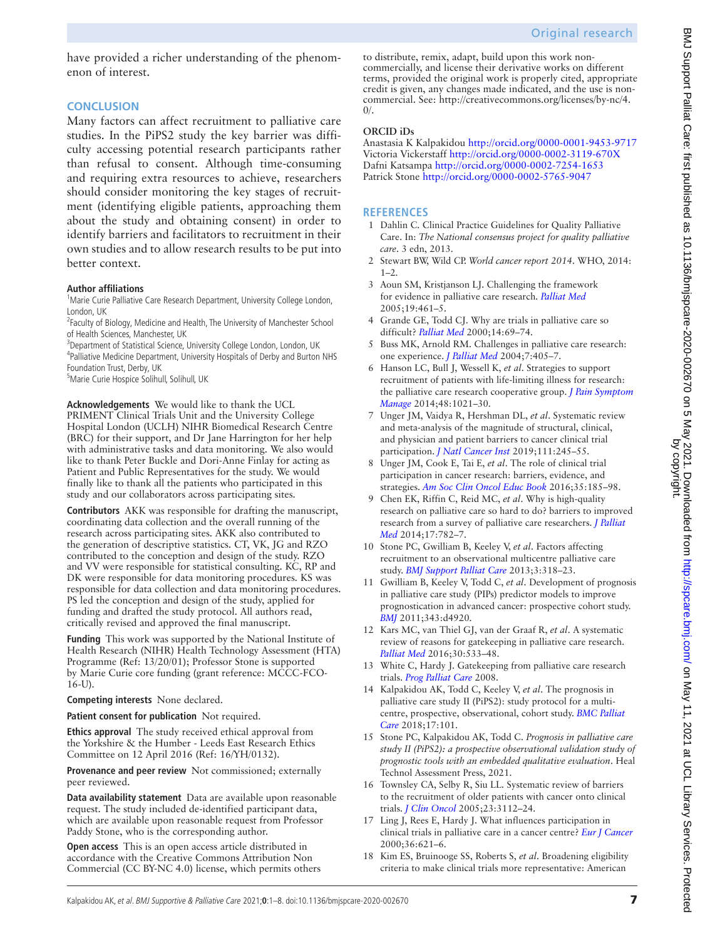have provided a richer understanding of the phenomenon of interest.

## **CONCLUSION**

Many factors can affect recruitment to palliative care studies. In the PiPS2 study the key barrier was difficulty accessing potential research participants rather than refusal to consent. Although time-consuming and requiring extra resources to achieve, researchers should consider monitoring the key stages of recruitment (identifying eligible patients, approaching them about the study and obtaining consent) in order to identify barriers and facilitators to recruitment in their own studies and to allow research results to be put into better context.

### **Author affiliations**

<sup>1</sup>Marie Curie Palliative Care Research Department, University College London, London, UK

<sup>2</sup> Faculty of Biology, Medicine and Health, The University of Manchester School of Health Sciences, Manchester, UK

<sup>3</sup>Department of Statistical Science, University College London, London, UK 4 Palliative Medicine Department, University Hospitals of Derby and Burton NHS Foundation Trust, Derby, UK

5 Marie Curie Hospice Solihull, Solihull, UK

**Acknowledgements** We would like to thank the UCL PRIMENT Clinical Trials Unit and the University College Hospital London (UCLH) NIHR Biomedical Research Centre (BRC) for their support, and Dr Jane Harrington for her help with administrative tasks and data monitoring. We also would like to thank Peter Buckle and Dori-Anne Finlay for acting as Patient and Public Representatives for the study. We would finally like to thank all the patients who participated in this study and our collaborators across participating sites.

**Contributors** AKK was responsible for drafting the manuscript, coordinating data collection and the overall running of the research across participating sites. AKK also contributed to the generation of descriptive statistics. CT, VK, JG and RZO contributed to the conception and design of the study. RZO and VV were responsible for statistical consulting. KC, RP and DK were responsible for data monitoring procedures. KS was responsible for data collection and data monitoring procedures. PS led the conception and design of the study, applied for funding and drafted the study protocol. All authors read, critically revised and approved the final manuscript.

**Funding** This work was supported by the National Institute of Health Research (NIHR) Health Technology Assessment (HTA) Programme (Ref: 13/20/01); Professor Stone is supported by Marie Curie core funding (grant reference: MCCC-FCO-16-U).

**Competing interests** None declared.

**Patient consent for publication** Not required.

**Ethics approval** The study received ethical approval from the Yorkshire & the Humber - Leeds East Research Ethics Committee on 12 April 2016 (Ref: 16/YH/0132).

**Provenance and peer review** Not commissioned; externally peer reviewed.

**Data availability statement** Data are available upon reasonable request. The study included de-identified participant data, which are available upon reasonable request from Professor Paddy Stone, who is the corresponding author.

**Open access** This is an open access article distributed in accordance with the Creative Commons Attribution Non Commercial (CC BY-NC 4.0) license, which permits others

to distribute, remix, adapt, build upon this work noncommercially, and license their derivative works on different terms, provided the original work is properly cited, appropriate credit is given, any changes made indicated, and the use is noncommercial. See: [http://creativecommons.org/licenses/by-nc/4.](http://creativecommons.org/licenses/by-nc/4.0/)  $\Omega$ 

## **ORCID iDs**

Anastasia K Kalpakidou <http://orcid.org/0000-0001-9453-9717> Victoria Vickerstaff <http://orcid.org/0000-0002-3119-670X> Dafni Katsampa <http://orcid.org/0000-0002-7254-1653> Patrick Stone<http://orcid.org/0000-0002-5765-9047>

## **REFERENCES**

- <span id="page-6-0"></span>1 Dahlin C. Clinical Practice Guidelines for Quality Palliative Care. In: *The National consensus project for quality palliative care*. 3 edn, 2013.
- <span id="page-6-1"></span>2 Stewart BW, Wild CP. *World cancer report 2014*. WHO, 2014:  $1 - 2$
- <span id="page-6-2"></span>3 Aoun SM, Kristjanson LJ. Challenging the framework for evidence in palliative care research. *[Palliat Med](http://dx.doi.org/10.1191/0269216305pm1057oa)* 2005;19:461–5.
- <span id="page-6-3"></span>4 Grande GE, Todd CJ. Why are trials in palliative care so difficult? *[Palliat Med](http://dx.doi.org/10.1191/026921600677940614)* 2000;14:69–74.
- 5 Buss MK, Arnold RM. Challenges in palliative care research: one experience. *[J Palliat Med](http://dx.doi.org/10.1089/1096621041349437)* 2004;7:405–7.
- <span id="page-6-4"></span>6 Hanson LC, Bull J, Wessell K, *et al*. Strategies to support recruitment of patients with life-limiting illness for research: the palliative care research cooperative group. *[J Pain Symptom](http://dx.doi.org/10.1016/j.jpainsymman.2014.04.008)  [Manage](http://dx.doi.org/10.1016/j.jpainsymman.2014.04.008)* 2014;48:1021–30.
- <span id="page-6-8"></span>7 Unger JM, Vaidya R, Hershman DL, *et al*. Systematic review and meta-analysis of the magnitude of structural, clinical, and physician and patient barriers to cancer clinical trial participation. *[J Natl Cancer Inst](http://dx.doi.org/10.1093/jnci/djy221)* 2019;111:245–55.
- 8 Unger JM, Cook E, Tai E, *et al*. The role of clinical trial participation in cancer research: barriers, evidence, and strategies. *[Am Soc Clin Oncol Educ Book](http://dx.doi.org/10.1200/EDBK_156686)* 2016;35:185–98.
- 9 Chen EK, Riffin C, Reid MC, *et al*. Why is high-quality research on palliative care so hard to do? barriers to improved research from a survey of palliative care researchers. *[J Palliat](http://dx.doi.org/10.1089/jpm.2013.0589)  [Med](http://dx.doi.org/10.1089/jpm.2013.0589)* 2014;17:782–7.
- <span id="page-6-5"></span>10 Stone PC, Gwilliam B, Keeley V, *et al*. Factors affecting recruitment to an observational multicentre palliative care study. *[BMJ Support Palliat Care](http://dx.doi.org/10.1136/bmjspcare-2012-000396)* 2013;3:318–23.
- 11 Gwilliam B, Keeley V, Todd C, *et al*. Development of prognosis in palliative care study (PIPs) predictor models to improve prognostication in advanced cancer: prospective cohort study. *[BMJ](http://dx.doi.org/10.1136/bmj.d4920)* 2011;343:d4920.
- <span id="page-6-6"></span>12 Kars MC, van Thiel GJ, van der Graaf R, *et al*. A systematic review of reasons for gatekeeping in palliative care research. *[Palliat Med](http://dx.doi.org/10.1177/0269216315616759)* 2016;30:533–48.
- 13 White C, Hardy J. Gatekeeping from palliative care research trials. *[Prog Palliat Care](http://dx.doi.org/10.1179/096992608X346189)* 2008.
- <span id="page-6-7"></span>14 Kalpakidou AK, Todd C, Keeley V, *et al*. The prognosis in palliative care study II (PiPS2): study protocol for a multicentre, prospective, observational, cohort study. *[BMC Palliat](http://dx.doi.org/10.1186/s12904-018-0352-y)  [Care](http://dx.doi.org/10.1186/s12904-018-0352-y)* 2018;17:101.
- 15 Stone PC, Kalpakidou AK, Todd C. *Prognosis in palliative care study II (PiPS2): a prospective observational validation study of prognostic tools with an embedded qualitative evaluation*. Heal Technol Assessment Press, 2021.
- 16 Townsley CA, Selby R, Siu LL. Systematic review of barriers to the recruitment of older patients with cancer onto clinical trials. *[J Clin Oncol](http://dx.doi.org/10.1200/JCO.2005.00.141)* 2005;23:3112–24.
- 17 Ling J, Rees E, Hardy J. What influences participation in clinical trials in palliative care in a cancer centre? *[Eur J Cancer](http://dx.doi.org/10.1016/S0959-8049(99)00330-5)* 2000;36:621–6.
- 18 Kim ES, Bruinooge SS, Roberts S, *et al*. Broadening eligibility criteria to make clinical trials more representative: American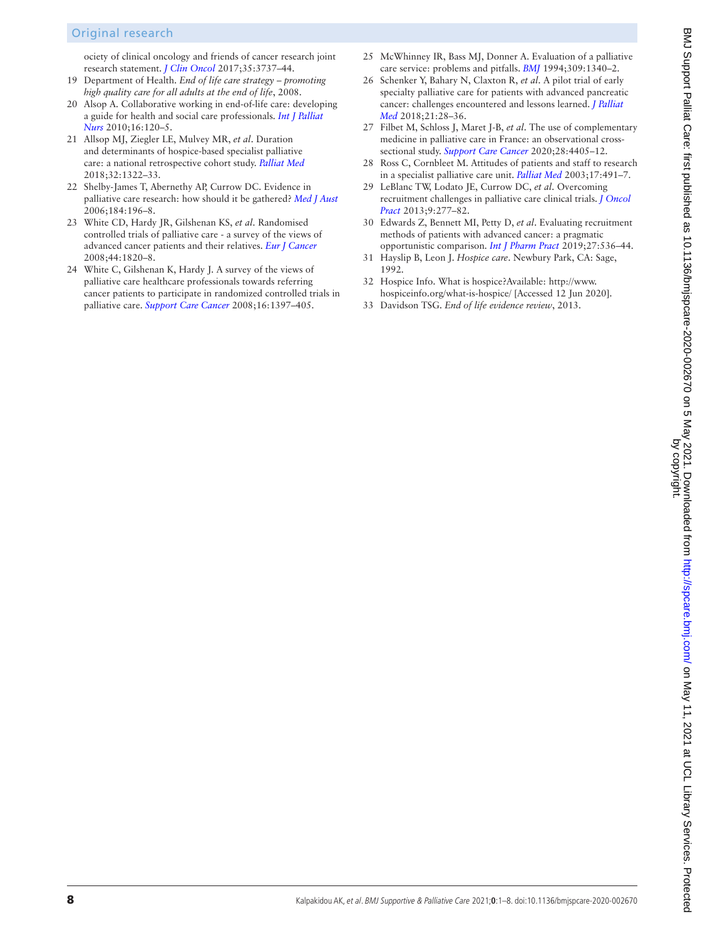## Original research

ociety of clinical oncology and friends of cancer research joint research statement. *[J Clin Oncol](http://dx.doi.org/10.1200/JCO.2017.73.7916)* 2017;35:3737–44.

- <span id="page-7-0"></span>19 Department of Health. *End of life care strategy – promoting high quality care for all adults at the end of life*, 2008.
- 20 Alsop A. Collaborative working in end-of-life care: developing a guide for health and social care professionals. *[Int J Palliat](http://dx.doi.org/10.12968/ijpn.2010.16.3.47323)  [Nurs](http://dx.doi.org/10.12968/ijpn.2010.16.3.47323)* 2010;16:120–5.
- <span id="page-7-1"></span>21 Allsop MJ, Ziegler LE, Mulvey MR, *et al*. Duration and determinants of hospice-based specialist palliative care: a national retrospective cohort study. *[Palliat Med](http://dx.doi.org/10.1177/0269216318781417)* 2018;32:1322–33.
- <span id="page-7-2"></span>22 Shelby-James T, Abernethy AP, Currow DC. Evidence in palliative care research: how should it be gathered? *[Med J Aust](http://dx.doi.org/10.5694/j.1326-5377.2006.tb00190.x)* 2006;184:196–8.
- <span id="page-7-5"></span>23 White CD, Hardy JR, Gilshenan KS, *et al*. Randomised controlled trials of palliative care - a survey of the views of advanced cancer patients and their relatives. *[Eur J Cancer](http://dx.doi.org/10.1016/j.ejca.2008.05.003)* 2008;44:1820–8.
- <span id="page-7-3"></span>24 White C, Gilshenan K, Hardy J. A survey of the views of palliative care healthcare professionals towards referring cancer patients to participate in randomized controlled trials in palliative care. *[Support Care Cancer](http://dx.doi.org/10.1007/s00520-008-0441-1)* 2008;16:1397–405.
- 25 McWhinney IR, Bass MJ, Donner A. Evaluation of a palliative care service: problems and pitfalls. *[BMJ](http://dx.doi.org/10.1136/bmj.309.6965.1340)* 1994;309:1340–2.
- <span id="page-7-4"></span>26 Schenker Y, Bahary N, Claxton R, *et al*. A pilot trial of early specialty palliative care for patients with advanced pancreatic cancer: challenges encountered and lessons learned. *[J Palliat](http://dx.doi.org/10.1089/jpm.2017.0113)  [Med](http://dx.doi.org/10.1089/jpm.2017.0113)* 2018;21:28–36.
- 27 Filbet M, Schloss J, Maret J-B, *et al*. The use of complementary medicine in palliative care in France: an observational crosssectional study. *[Support Care Cancer](http://dx.doi.org/10.1007/s00520-020-05296-1)* 2020;28:4405–12.
- 28 Ross C, Cornbleet M. Attitudes of patients and staff to research in a specialist palliative care unit. *[Palliat Med](http://dx.doi.org/10.1191/0269216303pm785oa)* 2003;17:491–7.
- 29 LeBlanc TW, Lodato JE, Currow DC, *et al*. Overcoming recruitment challenges in palliative care clinical trials. *[J Oncol](http://dx.doi.org/10.1200/JOP.2013.000996)  [Pract](http://dx.doi.org/10.1200/JOP.2013.000996)* 2013;9:277–82.
- <span id="page-7-6"></span>30 Edwards Z, Bennett MI, Petty D, *et al*. Evaluating recruitment methods of patients with advanced cancer: a pragmatic opportunistic comparison. *[Int J Pharm Pract](http://dx.doi.org/10.1111/ijpp.12562)* 2019;27:536–44.
- <span id="page-7-7"></span>31 Hayslip B, Leon J. *Hospice care*. Newbury Park, CA: Sage, 1992.
- 32 Hospice Info. What is hospice?Available: [http://www.](http://www.hospiceinfo.org/what-is-hospice/) [hospiceinfo.org/what-is-hospice/](http://www.hospiceinfo.org/what-is-hospice/) [Accessed 12 Jun 2020].
- <span id="page-7-8"></span>33 Davidson TSG. *End of life evidence review*, 2013.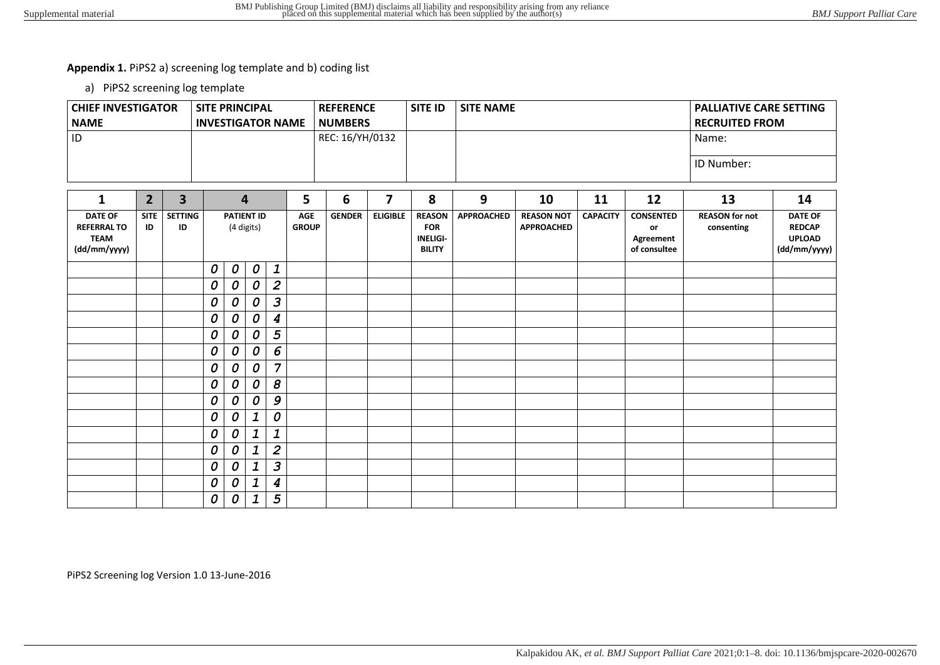# **Appendix 1.** PiPS2 a) screening log template and b) coding list

a) PiPS2 screening log template

| <b>CHIEF INVESTIGATOR</b><br><b>NAME</b>                            |                               | <b>SITE PRINCIPAL</b><br><b>INVESTIGATOR NAME</b> |                                 |                                 |                                  |                                             | <b>REFERENCE</b><br><b>NUMBERS</b> |                 | <b>SITE ID</b>                                                  | <b>SITE NAME</b>  |                                        | <b>PALLIATIVE CARE SETTING</b><br><b>RECRUITED FROM</b> |                                                     |                                     |                                                                  |  |
|---------------------------------------------------------------------|-------------------------------|---------------------------------------------------|---------------------------------|---------------------------------|----------------------------------|---------------------------------------------|------------------------------------|-----------------|-----------------------------------------------------------------|-------------------|----------------------------------------|---------------------------------------------------------|-----------------------------------------------------|-------------------------------------|------------------------------------------------------------------|--|
| ID                                                                  |                               |                                                   |                                 |                                 |                                  |                                             | REC: 16/YH/0132                    |                 |                                                                 |                   |                                        |                                                         | Name:<br>ID Number:                                 |                                     |                                                                  |  |
|                                                                     |                               |                                                   |                                 |                                 |                                  |                                             |                                    |                 |                                                                 |                   |                                        |                                                         |                                                     |                                     |                                                                  |  |
| $\mathbf{1}$                                                        | $\overline{\mathbf{3}}$       |                                                   |                                 | $\overline{\mathbf{4}}$         |                                  | 5                                           | 6                                  | $\overline{7}$  | 8                                                               | 9                 | 10                                     | 11                                                      | 12                                                  | 13                                  | 14                                                               |  |
| <b>DATE OF</b><br><b>REFERRAL TO</b><br><b>TEAM</b><br>(dd/mm/yyyy) | <b>SITE</b><br>ID             | <b>SETTING</b><br>ID                              |                                 | <b>PATIENT ID</b><br>(4 digits) |                                  | <b>AGE</b><br><b>GENDER</b><br><b>GROUP</b> |                                    | <b>ELIGIBLE</b> | <b>REASON</b><br><b>FOR</b><br><b>INELIGI-</b><br><b>BILITY</b> | <b>APPROACHED</b> | <b>REASON NOT</b><br><b>APPROACHED</b> | <b>CAPACITY</b>                                         | <b>CONSENTED</b><br>or<br>Agreement<br>of consultee | <b>REASON</b> for not<br>consenting | <b>DATE OF</b><br><b>REDCAP</b><br><b>UPLOAD</b><br>(dd/mm/yyyy) |  |
|                                                                     |                               |                                                   | 0<br>$\boldsymbol{o}$           |                                 | $\boldsymbol{o}$<br>$\mathbf{1}$ |                                             |                                    |                 |                                                                 |                   |                                        |                                                         |                                                     |                                     |                                                                  |  |
|                                                                     | 0<br>0<br>0<br>0<br>0<br>0    |                                                   | $\overline{2}$<br>3             |                                 |                                  |                                             |                                    |                 |                                                                 |                   |                                        |                                                         |                                                     |                                     |                                                                  |  |
|                                                                     |                               |                                                   | 0<br>0<br>0<br>$\boldsymbol{4}$ |                                 |                                  |                                             |                                    |                 |                                                                 |                   |                                        |                                                         |                                                     |                                     |                                                                  |  |
|                                                                     |                               |                                                   | 0                               | 5<br>0<br>0                     |                                  |                                             |                                    |                 |                                                                 |                   |                                        |                                                         |                                                     |                                     |                                                                  |  |
|                                                                     |                               |                                                   | 0                               | 0                               | 0                                | 6                                           |                                    |                 |                                                                 |                   |                                        |                                                         |                                                     |                                     |                                                                  |  |
|                                                                     |                               |                                                   | 0                               | 0                               | 0                                | $\overline{7}$                              |                                    |                 |                                                                 |                   |                                        |                                                         |                                                     |                                     |                                                                  |  |
|                                                                     |                               |                                                   | $\boldsymbol{s}$<br>0<br>0<br>0 |                                 |                                  |                                             |                                    |                 |                                                                 |                   |                                        |                                                         |                                                     |                                     |                                                                  |  |
|                                                                     |                               | 9<br>0<br>0<br>0                                  |                                 |                                 |                                  |                                             |                                    |                 |                                                                 |                   |                                        |                                                         |                                                     |                                     |                                                                  |  |
|                                                                     |                               |                                                   | 0                               | 0                               | 1                                | 0                                           |                                    |                 |                                                                 |                   |                                        |                                                         |                                                     |                                     |                                                                  |  |
|                                                                     |                               | 1<br>$\mathbf 1$<br>0<br>0                        |                                 |                                 |                                  |                                             |                                    |                 |                                                                 |                   |                                        |                                                         |                                                     |                                     |                                                                  |  |
|                                                                     | $\overline{2}$<br>0<br>1<br>0 |                                                   |                                 |                                 |                                  |                                             |                                    |                 |                                                                 |                   |                                        |                                                         |                                                     |                                     |                                                                  |  |
|                                                                     |                               |                                                   | 3<br>0<br>$\mathbf 1$<br>0      |                                 |                                  |                                             |                                    |                 |                                                                 |                   |                                        |                                                         |                                                     |                                     |                                                                  |  |
|                                                                     |                               |                                                   | 0<br>1<br>0<br>4                |                                 |                                  |                                             |                                    |                 |                                                                 |                   |                                        |                                                         |                                                     |                                     |                                                                  |  |
|                                                                     |                               |                                                   | 0                               | 0                               | 1                                | 5                                           |                                    |                 |                                                                 |                   |                                        |                                                         |                                                     |                                     |                                                                  |  |

PiPS2 Screening log Version 1.0 13-June-2016